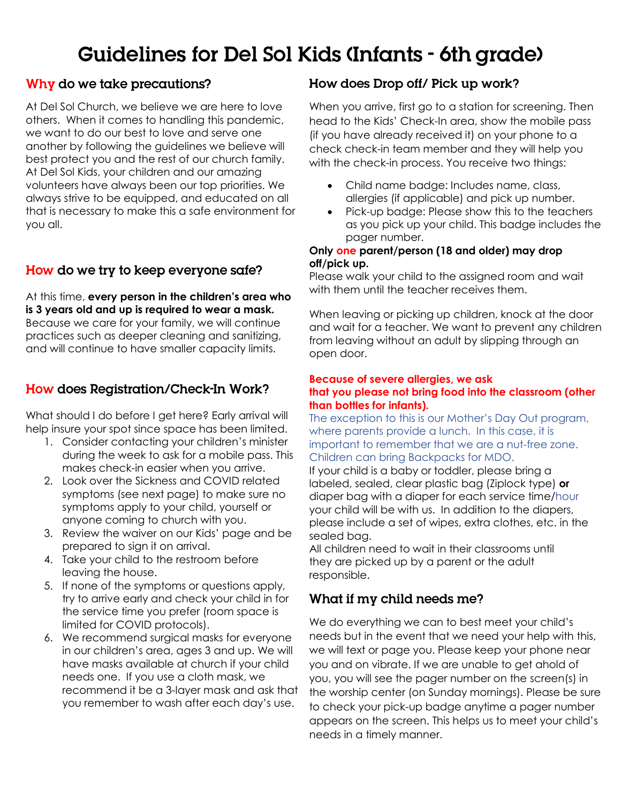# **Guidelines for Del Sol Kids (Infants - 6th grade)**

## Why do we take precautions?

At Del Sol Church, we believe we are here to love others. When it comes to handling this pandemic, we want to do our best to love and serve one another by following the guidelines we believe will best protect you and the rest of our church family. At Del Sol Kids, your children and our amazing volunteers have always been our top priorities. We always strive to be equipped, and educated on all that is necessary to make this a safe environment for you all.

## How do we try to keep everyone safe?

At this time, **every person in the children's area who is 3 years old and up is required to wear a mask.** Because we care for your family, we will continue practices such as deeper cleaning and sanitizing, and will continue to have smaller capacity limits.

## How does Registration/Check-In Work?

What should I do before I get here? Early arrival will help insure your spot since space has been limited.

- 1. Consider contacting your children's minister during the week to ask for a mobile pass. This makes check-in easier when you arrive.
- 2. Look over the Sickness and COVID related symptoms (see next page) to make sure no symptoms apply to your child, yourself or anyone coming to church with you.
- 3. Review the waiver on our Kids' page and be prepared to sign it on arrival.
- 4. Take your child to the restroom before leaving the house.
- 5. If none of the symptoms or questions apply, try to arrive early and check your child in for the service time you prefer (room space is limited for COVID protocols).
- 6. We recommend surgical masks for everyone in our children's area, ages 3 and up. We will have masks available at church if your child needs one. If you use a cloth mask, we recommend it be a 3-layer mask and ask that you remember to wash after each day's use.

### How does Drop off/ Pick up work?

When you arrive, first go to a station for screening. Then head to the Kids' Check-In area, show the mobile pass (if you have already received it) on your phone to a check check-in team member and they will help you with the check-in process. You receive two things:

- Child name badge: Includes name, class, allergies (if applicable) and pick up number.
- Pick-up badge: Please show this to the teachers as you pick up your child. This badge includes the pager number.

#### **Only one parent/person (18 and older) may drop off/pick up.**

Please walk your child to the assigned room and wait with them until the teacher receives them.

When leaving or picking up children, knock at the door and wait for a teacher. We want to prevent any children from leaving without an adult by slipping through an open door.

#### **Because of severe allergies, we ask that you please not bring food into the classroom (other than bottles for infants).**

The exception to this is our Mother's Day Out program, where parents provide a lunch. In this case, it is important to remember that we are a nut-free zone. Children can bring Backpacks for MDO.

If your child is a baby or toddler, please bring a labeled, sealed, clear plastic bag (Ziplock type) **or** diaper bag with a diaper for each service time/hour your child will be with us. In addition to the diapers, please include a set of wipes, extra clothes, etc. in the sealed bag.

All children need to wait in their classrooms until they are picked up by a parent or the adult responsible.

### What if my child needs me?

We do everything we can to best meet your child's needs but in the event that we need your help with this, we will text or page you. Please keep your phone near you and on vibrate. If we are unable to get ahold of you, you will see the pager number on the screen(s) in the worship center (on Sunday mornings). Please be sure to check your pick-up badge anytime a pager number appears on the screen. This helps us to meet your child's needs in a timely manner.